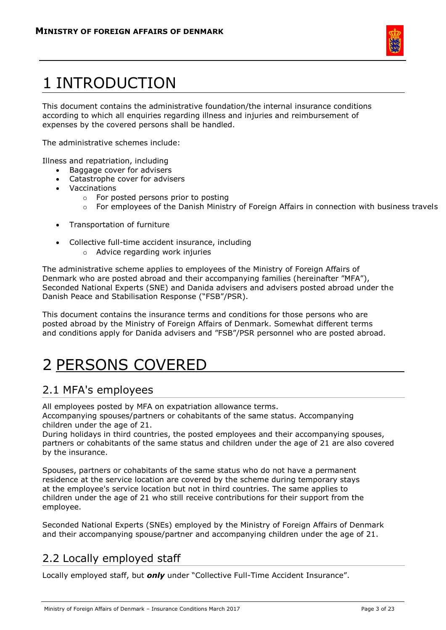

# 1 INTRODUCTION

This document contains the administrative foundation/the internal insurance conditions according to which all enquiries regarding illness and injuries and reimbursement of expenses by the covered persons shall be handled.

The administrative schemes include:

Illness and repatriation, including

- Baggage cover for advisers
- Catastrophe cover for advisers
- Vaccinations
	- o For posted persons prior to posting
	- $\circ$  For employees of the Danish Ministry of Foreign Affairs in connection with business travels
- Transportation of furniture
- Collective full-time accident insurance, including
	- o Advice regarding work injuries

The administrative scheme applies to employees of the Ministry of Foreign Affairs of Denmark who are posted abroad and their accompanying families (hereinafter "MFA"), Seconded National Experts (SNE) and Danida advisers and advisers posted abroad under the Danish Peace and Stabilisation Response ("FSB"/PSR).

This document contains the insurance terms and conditions for those persons who are posted abroad by the Ministry of Foreign Affairs of Denmark. Somewhat different terms and conditions apply for Danida advisers and "FSB"/PSR personnel who are posted abroad.

## 2 PERSONS COVERED

### 2.1 MFA's employees

All employees posted by MFA on expatriation allowance terms. Accompanying spouses/partners or cohabitants of the same status. Accompanying children under the age of 21.

During holidays in third countries, the posted employees and their accompanying spouses, partners or cohabitants of the same status and children under the age of 21 are also covered by the insurance.

Spouses, partners or cohabitants of the same status who do not have a permanent residence at the service location are covered by the scheme during temporary stays at the employee's service location but not in third countries. The same applies to children under the age of 21 who still receive contributions for their support from the employee.

Seconded National Experts (SNEs) employed by the Ministry of Foreign Affairs of Denmark and their accompanying spouse/partner and accompanying children under the age of 21.

### 2.2 Locally employed staff

Locally employed staff, but *only* under "Collective Full-Time Accident Insurance".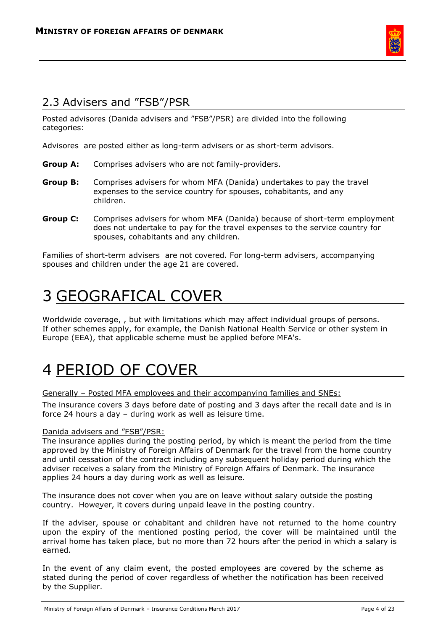

### 2.3 Advisers and "FSB"/PSR

Posted advisores (Danida advisers and "FSB"/PSR) are divided into the following categories:

Advisores are posted either as long-term advisers or as short-term advisors.

- **Group A:** Comprises advisers who are not family-providers.
- **Group B:** Comprises advisers for whom MFA (Danida) undertakes to pay the travel expenses to the service country for spouses, cohabitants, and any children.
- **Group C:** Comprises advisers for whom MFA (Danida) because of short-term employment does not undertake to pay for the travel expenses to the service country for spouses, cohabitants and any children.

Families of short-term advisers are not covered. For long-term advisers, accompanying spouses and children under the age 21 are covered.

## 3 GEOGRAFICAL COVER

Worldwide coverage, , but with limitations which may affect individual groups of persons. If other schemes apply, for example, the Danish National Health Service or other system in Europe (EEA), that applicable scheme must be applied before MFA's.

## 4 PERIOD OF COVER

Generally – Posted MFA employees and their accompanying families and SNEs:

The insurance covers 3 days before date of posting and 3 days after the recall date and is in force 24 hours a day – during work as well as leisure time.

#### Danida advisers and "FSB"/PSR:

The insurance applies during the posting period, by which is meant the period from the time approved by the Ministry of Foreign Affairs of Denmark for the travel from the home country and until cessation of the contract including any subsequent holiday period during which the adviser receives a salary from the Ministry of Foreign Affairs of Denmark. The insurance applies 24 hours a day during work as well as leisure.

The insurance does not cover when you are on leave without salary outside the posting country. However, it covers during unpaid leave in the posting country.

If the adviser, spouse or cohabitant and children have not returned to the home country upon the expiry of the mentioned posting period, the cover will be maintained until the arrival home has taken place, but no more than 72 hours after the period in which a salary is earned.

In the event of any claim event, the posted employees are covered by the scheme as stated during the period of cover regardless of whether the notification has been received by the Supplier.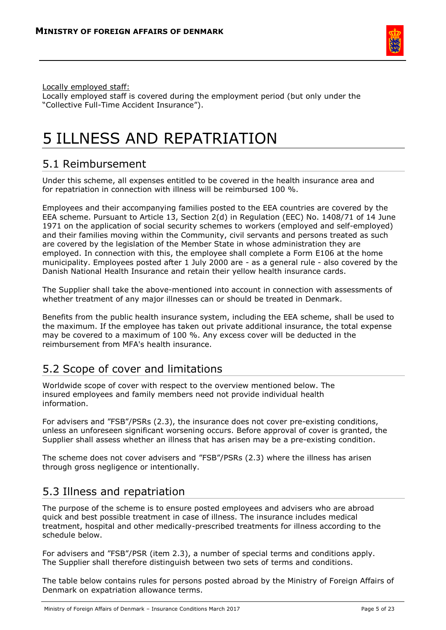

Locally employed staff:

Locally employed staff is covered during the employment period (but only under the "Collective Full-Time Accident Insurance").

## 5 ILLNESS AND REPATRIATION

### 5.1 Reimbursement

Under this scheme, all expenses entitled to be covered in the health insurance area and for repatriation in connection with illness will be reimbursed 100 %.

Employees and their accompanying families posted to the EEA countries are covered by the EEA scheme. Pursuant to Article 13, Section 2(d) in Regulation (EEC) No. 1408/71 of 14 June 1971 on the application of social security schemes to workers (employed and self-employed) and their families moving within the Community, civil servants and persons treated as such are covered by the legislation of the Member State in whose administration they are employed. In connection with this, the employee shall complete a Form E106 at the home municipality. Employees posted after 1 July 2000 are - as a general rule - also covered by the Danish National Health Insurance and retain their yellow health insurance cards.

The Supplier shall take the above-mentioned into account in connection with assessments of whether treatment of any major illnesses can or should be treated in Denmark.

Benefits from the public health insurance system, including the EEA scheme, shall be used to the maximum. If the employee has taken out private additional insurance, the total expense may be covered to a maximum of 100 %. Any excess cover will be deducted in the reimbursement from MFA's health insurance.

## 5.2 Scope of cover and limitations

Worldwide scope of cover with respect to the overview mentioned below. The insured employees and family members need not provide individual health information.

For advisers and "FSB"/PSRs (2.3), the insurance does not cover pre-existing conditions, unless an unforeseen significant worsening occurs. Before approval of cover is granted, the Supplier shall assess whether an illness that has arisen may be a pre-existing condition.

The scheme does not cover advisers and "FSB"/PSRs (2.3) where the illness has arisen through gross negligence or intentionally.

## 5.3 Illness and repatriation

The purpose of the scheme is to ensure posted employees and advisers who are abroad quick and best possible treatment in case of illness. The insurance includes medical treatment, hospital and other medically-prescribed treatments for illness according to the schedule below.

For advisers and "FSB"/PSR (item 2.3), a number of special terms and conditions apply. The Supplier shall therefore distinguish between two sets of terms and conditions.

The table below contains rules for persons posted abroad by the Ministry of Foreign Affairs of Denmark on expatriation allowance terms.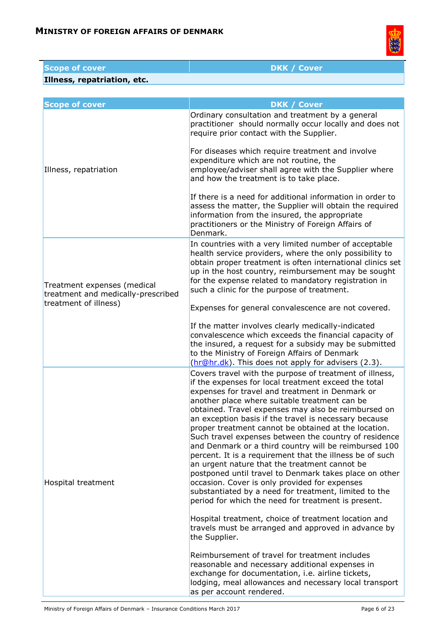

| <b>Scope of cover</b>                                                                      | <b>DKK / Cover</b>                                                                                                                                                                                                                                                                                                                                                                                                                                                                                                                                                                                                                                                                                                                                                                                                                                                                                                                                                                                                                                                                                                                                                                                        |
|--------------------------------------------------------------------------------------------|-----------------------------------------------------------------------------------------------------------------------------------------------------------------------------------------------------------------------------------------------------------------------------------------------------------------------------------------------------------------------------------------------------------------------------------------------------------------------------------------------------------------------------------------------------------------------------------------------------------------------------------------------------------------------------------------------------------------------------------------------------------------------------------------------------------------------------------------------------------------------------------------------------------------------------------------------------------------------------------------------------------------------------------------------------------------------------------------------------------------------------------------------------------------------------------------------------------|
| Illness, repatriation, etc.                                                                |                                                                                                                                                                                                                                                                                                                                                                                                                                                                                                                                                                                                                                                                                                                                                                                                                                                                                                                                                                                                                                                                                                                                                                                                           |
|                                                                                            |                                                                                                                                                                                                                                                                                                                                                                                                                                                                                                                                                                                                                                                                                                                                                                                                                                                                                                                                                                                                                                                                                                                                                                                                           |
| <b>Scope of cover</b>                                                                      | <b>DKK / Cover</b>                                                                                                                                                                                                                                                                                                                                                                                                                                                                                                                                                                                                                                                                                                                                                                                                                                                                                                                                                                                                                                                                                                                                                                                        |
| Illness, repatriation                                                                      | Ordinary consultation and treatment by a general<br>practitioner should normally occur locally and does not<br>require prior contact with the Supplier.                                                                                                                                                                                                                                                                                                                                                                                                                                                                                                                                                                                                                                                                                                                                                                                                                                                                                                                                                                                                                                                   |
|                                                                                            | For diseases which require treatment and involve<br>expenditure which are not routine, the<br>employee/adviser shall agree with the Supplier where<br>and how the treatment is to take place.                                                                                                                                                                                                                                                                                                                                                                                                                                                                                                                                                                                                                                                                                                                                                                                                                                                                                                                                                                                                             |
|                                                                                            | If there is a need for additional information in order to<br>assess the matter, the Supplier will obtain the required<br>information from the insured, the appropriate<br>practitioners or the Ministry of Foreign Affairs of<br>Denmark.                                                                                                                                                                                                                                                                                                                                                                                                                                                                                                                                                                                                                                                                                                                                                                                                                                                                                                                                                                 |
| Treatment expenses (medical<br>treatment and medically-prescribed<br>treatment of illness) | In countries with a very limited number of acceptable<br>health service providers, where the only possibility to<br>obtain proper treatment is often international clinics set<br>up in the host country, reimbursement may be sought<br>for the expense related to mandatory registration in<br>such a clinic for the purpose of treatment.<br>Expenses for general convalescence are not covered.                                                                                                                                                                                                                                                                                                                                                                                                                                                                                                                                                                                                                                                                                                                                                                                                       |
|                                                                                            | If the matter involves clearly medically-indicated<br>convalescence which exceeds the financial capacity of<br>the insured, a request for a subsidy may be submitted<br>to the Ministry of Foreign Affairs of Denmark<br>(hr@hr.dk). This does not apply for advisers (2.3).                                                                                                                                                                                                                                                                                                                                                                                                                                                                                                                                                                                                                                                                                                                                                                                                                                                                                                                              |
| Hospital treatment                                                                         | Covers travel with the purpose of treatment of illness,<br>if the expenses for local treatment exceed the total<br>expenses for travel and treatment in Denmark or<br>another place where suitable treatment can be<br>obtained. Travel expenses may also be reimbursed on<br>an exception basis if the travel is necessary because<br>proper treatment cannot be obtained at the location.<br>Such travel expenses between the country of residence<br>and Denmark or a third country will be reimbursed 100<br>percent. It is a requirement that the illness be of such<br>an urgent nature that the treatment cannot be<br>postponed until travel to Denmark takes place on other<br>occasion. Cover is only provided for expenses<br>substantiated by a need for treatment, limited to the<br>period for which the need for treatment is present.<br>Hospital treatment, choice of treatment location and<br>travels must be arranged and approved in advance by<br>the Supplier.<br>Reimbursement of travel for treatment includes<br>reasonable and necessary additional expenses in<br>exchange for documentation, i.e. airline tickets,<br>lodging, meal allowances and necessary local transport |

as per account rendered.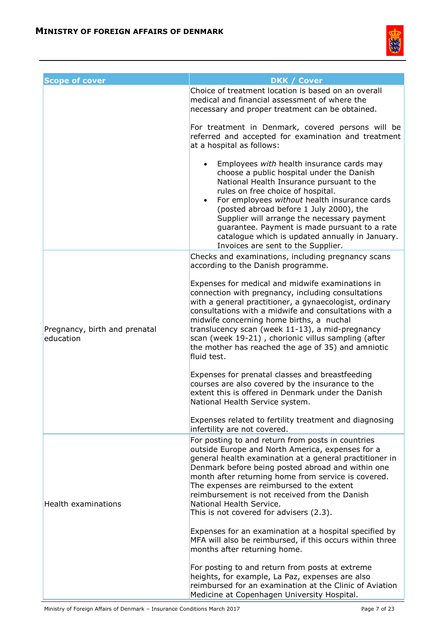

| <b>Scope of cover</b>                      | <b>DKK / Cover</b><br>Choice of treatment location is based on an overall<br>medical and financial assessment of where the<br>necessary and proper treatment can be obtained.                                                                                                                                                                                                                                                                                             |
|--------------------------------------------|---------------------------------------------------------------------------------------------------------------------------------------------------------------------------------------------------------------------------------------------------------------------------------------------------------------------------------------------------------------------------------------------------------------------------------------------------------------------------|
|                                            | For treatment in Denmark, covered persons will be<br>referred and accepted for examination and treatment<br>at a hospital as follows:                                                                                                                                                                                                                                                                                                                                     |
|                                            | Employees with health insurance cards may<br>choose a public hospital under the Danish<br>National Health Insurance pursuant to the<br>rules on free choice of hospital.<br>For employees without health insurance cards<br>$\bullet$<br>(posted abroad before 1 July 2000), the<br>Supplier will arrange the necessary payment<br>guarantee. Payment is made pursuant to a rate<br>catalogue which is updated annually in January.<br>Invoices are sent to the Supplier. |
| Pregnancy, birth and prenatal<br>education | Checks and examinations, including pregnancy scans<br>according to the Danish programme.                                                                                                                                                                                                                                                                                                                                                                                  |
|                                            | Expenses for medical and midwife examinations in<br>connection with pregnancy, including consultations<br>with a general practitioner, a gynaecologist, ordinary<br>consultations with a midwife and consultations with a<br>midwife concerning home births, a nuchal<br>translucency scan (week 11-13), a mid-pregnancy<br>scan (week 19-21), chorionic villus sampling (after<br>the mother has reached the age of 35) and amniotic<br>fluid test.                      |
|                                            | Expenses for prenatal classes and breastfeeding<br>courses are also covered by the insurance to the<br>extent this is offered in Denmark under the Danish<br>National Health Service system.                                                                                                                                                                                                                                                                              |
|                                            | Expenses related to fertility treatment and diagnosing<br>infertility are not covered.                                                                                                                                                                                                                                                                                                                                                                                    |
| Health examinations                        | For posting to and return from posts in countries<br>outside Europe and North America, expenses for a<br>general health examination at a general practitioner in<br>Denmark before being posted abroad and within one<br>month after returning home from service is covered.<br>The expenses are reimbursed to the extent<br>reimbursement is not received from the Danish<br>National Health Service.<br>This is not covered for advisers (2.3).                         |
|                                            | Expenses for an examination at a hospital specified by<br>MFA will also be reimbursed, if this occurs within three<br>months after returning home.                                                                                                                                                                                                                                                                                                                        |
|                                            | For posting to and return from posts at extreme<br>heights, for example, La Paz, expenses are also<br>reimbursed for an examination at the Clinic of Aviation<br>Medicine at Copenhagen University Hospital.                                                                                                                                                                                                                                                              |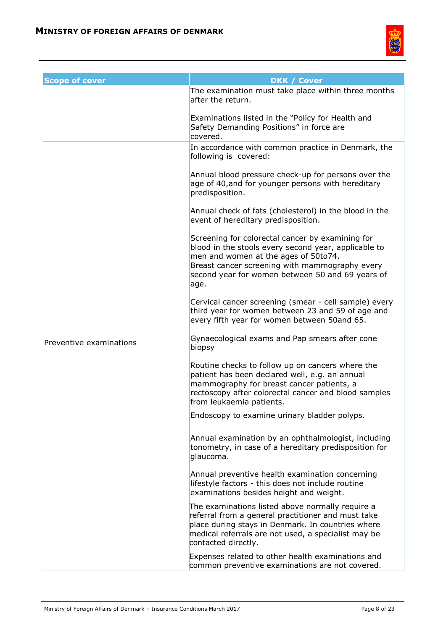

| <b>Scope of cover</b>   | <b>DKK / Cover</b>                                                                                                                                                                                                                                             |
|-------------------------|----------------------------------------------------------------------------------------------------------------------------------------------------------------------------------------------------------------------------------------------------------------|
|                         | The examination must take place within three months<br>after the return.                                                                                                                                                                                       |
|                         | Examinations listed in the "Policy for Health and<br>Safety Demanding Positions" in force are<br>covered.                                                                                                                                                      |
|                         | In accordance with common practice in Denmark, the<br>following is covered:                                                                                                                                                                                    |
|                         | Annual blood pressure check-up for persons over the<br>age of 40, and for younger persons with hereditary<br>predisposition.                                                                                                                                   |
|                         | Annual check of fats (cholesterol) in the blood in the<br>event of hereditary predisposition.                                                                                                                                                                  |
|                         | Screening for colorectal cancer by examining for<br>blood in the stools every second year, applicable to<br>men and women at the ages of 50to74.<br>Breast cancer screening with mammography every<br>second year for women between 50 and 69 years of<br>age. |
|                         | Cervical cancer screening (smear - cell sample) every<br>third year for women between 23 and 59 of age and<br>every fifth year for women between 50and 65.                                                                                                     |
| Preventive examinations | Gynaecological exams and Pap smears after cone<br>biopsy                                                                                                                                                                                                       |
|                         | Routine checks to follow up on cancers where the<br>patient has been declared well, e.g. an annual<br>mammography for breast cancer patients, a<br>rectoscopy after colorectal cancer and blood samples<br>from leukaemia patients.                            |
|                         | Endoscopy to examine urinary bladder polyps.                                                                                                                                                                                                                   |
|                         | Annual examination by an ophthalmologist, including<br>tonometry, in case of a hereditary predisposition for<br>glaucoma.                                                                                                                                      |
|                         | Annual preventive health examination concerning<br>lifestyle factors - this does not include routine<br>examinations besides height and weight.                                                                                                                |
|                         | The examinations listed above normally require a<br>referral from a general practitioner and must take<br>place during stays in Denmark. In countries where<br>medical referrals are not used, a specialist may be<br>contacted directly.                      |
|                         | Expenses related to other health examinations and<br>common preventive examinations are not covered.                                                                                                                                                           |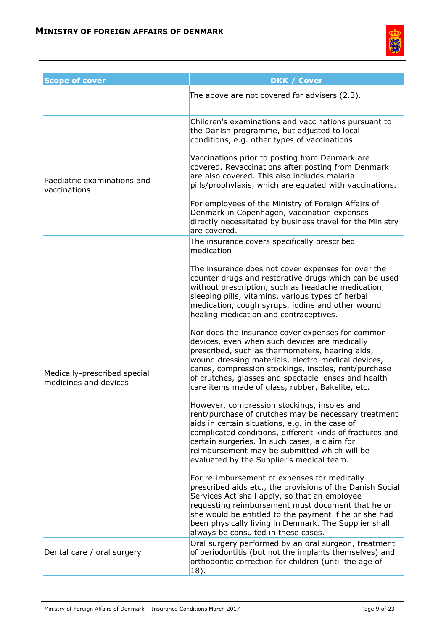

| <b>Scope of cover</b>                                 | <b>DKK / Cover</b>                                                                                                                                                                                                                                                                                                                                                             |
|-------------------------------------------------------|--------------------------------------------------------------------------------------------------------------------------------------------------------------------------------------------------------------------------------------------------------------------------------------------------------------------------------------------------------------------------------|
|                                                       | The above are not covered for advisers (2.3).                                                                                                                                                                                                                                                                                                                                  |
| Paediatric examinations and<br>vaccinations           | Children's examinations and vaccinations pursuant to<br>the Danish programme, but adjusted to local<br>conditions, e.g. other types of vaccinations.                                                                                                                                                                                                                           |
|                                                       | Vaccinations prior to posting from Denmark are<br>covered. Revaccinations after posting from Denmark<br>are also covered. This also includes malaria<br>pills/prophylaxis, which are equated with vaccinations.                                                                                                                                                                |
|                                                       | For employees of the Ministry of Foreign Affairs of<br>Denmark in Copenhagen, vaccination expenses<br>directly necessitated by business travel for the Ministry<br>are covered.                                                                                                                                                                                                |
| Medically-prescribed special<br>medicines and devices | The insurance covers specifically prescribed<br>medication                                                                                                                                                                                                                                                                                                                     |
|                                                       | The insurance does not cover expenses for over the<br>counter drugs and restorative drugs which can be used<br>without prescription, such as headache medication,<br>sleeping pills, vitamins, various types of herbal<br>medication, cough syrups, iodine and other wound<br>healing medication and contraceptives.                                                           |
|                                                       | Nor does the insurance cover expenses for common<br>devices, even when such devices are medically<br>prescribed, such as thermometers, hearing aids,<br>wound dressing materials, electro-medical devices,<br>canes, compression stockings, insoles, rent/purchase<br>of crutches, glasses and spectacle lenses and health<br>care items made of glass, rubber, Bakelite, etc. |
|                                                       | However, compression stockings, insoles and<br>rent/purchase of crutches may be necessary treatment<br>aids in certain situations, e.g. in the case of<br>complicated conditions, different kinds of fractures and<br>certain surgeries. In such cases, a claim for<br>reimbursement may be submitted which will be<br>evaluated by the Supplier's medical team.               |
|                                                       | For re-imbursement of expenses for medically-<br>prescribed aids etc., the provisions of the Danish Social<br>Services Act shall apply, so that an employee<br>requesting reimbursement must document that he or<br>she would be entitled to the payment if he or she had<br>been physically living in Denmark. The Supplier shall<br>always be consulted in these cases.      |
| Dental care / oral surgery                            | Oral surgery performed by an oral surgeon, treatment<br>of periodontitis (but not the implants themselves) and<br>orthodontic correction for children (until the age of<br>18).                                                                                                                                                                                                |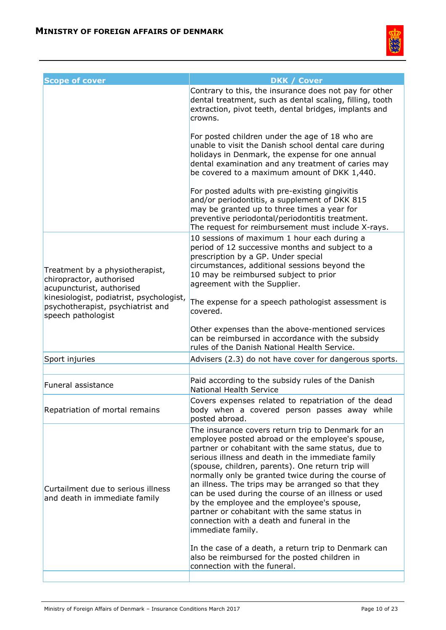

| <b>Scope of cover</b>                                                                                                                                                                           | <b>DKK / Cover</b>                                                                                                                                                                                                                                                                                                                                                                                                                                                                                                                                                                                                                                                   |
|-------------------------------------------------------------------------------------------------------------------------------------------------------------------------------------------------|----------------------------------------------------------------------------------------------------------------------------------------------------------------------------------------------------------------------------------------------------------------------------------------------------------------------------------------------------------------------------------------------------------------------------------------------------------------------------------------------------------------------------------------------------------------------------------------------------------------------------------------------------------------------|
|                                                                                                                                                                                                 | Contrary to this, the insurance does not pay for other<br>dental treatment, such as dental scaling, filling, tooth<br>extraction, pivot teeth, dental bridges, implants and<br>crowns.                                                                                                                                                                                                                                                                                                                                                                                                                                                                               |
|                                                                                                                                                                                                 | For posted children under the age of 18 who are<br>unable to visit the Danish school dental care during<br>holidays in Denmark, the expense for one annual<br>dental examination and any treatment of caries may<br>be covered to a maximum amount of DKK 1,440.                                                                                                                                                                                                                                                                                                                                                                                                     |
|                                                                                                                                                                                                 | For posted adults with pre-existing gingivitis<br>and/or periodontitis, a supplement of DKK 815<br>may be granted up to three times a year for<br>preventive periodontal/periodontitis treatment.<br>The request for reimbursement must include X-rays.                                                                                                                                                                                                                                                                                                                                                                                                              |
| Treatment by a physiotherapist,<br>chiropractor, authorised<br>acupuncturist, authorised<br>kinesiologist, podiatrist, psychologist,<br>psychotherapist, psychiatrist and<br>speech pathologist | 10 sessions of maximum 1 hour each during a<br>period of 12 successive months and subject to a<br>prescription by a GP. Under special<br>circumstances, additional sessions beyond the<br>10 may be reimbursed subject to prior<br>agreement with the Supplier.<br>The expense for a speech pathologist assessment is<br>covered.                                                                                                                                                                                                                                                                                                                                    |
|                                                                                                                                                                                                 | Other expenses than the above-mentioned services<br>can be reimbursed in accordance with the subsidy<br>rules of the Danish National Health Service.                                                                                                                                                                                                                                                                                                                                                                                                                                                                                                                 |
| Sport injuries                                                                                                                                                                                  | Advisers (2.3) do not have cover for dangerous sports.                                                                                                                                                                                                                                                                                                                                                                                                                                                                                                                                                                                                               |
|                                                                                                                                                                                                 |                                                                                                                                                                                                                                                                                                                                                                                                                                                                                                                                                                                                                                                                      |
| <b>Funeral assistance</b>                                                                                                                                                                       | Paid according to the subsidy rules of the Danish<br><b>National Health Service</b>                                                                                                                                                                                                                                                                                                                                                                                                                                                                                                                                                                                  |
| Repatriation of mortal remains                                                                                                                                                                  | Covers expenses related to repatriation of the dead<br>body when a covered person passes away while<br>posted abroad.                                                                                                                                                                                                                                                                                                                                                                                                                                                                                                                                                |
| Curtailment due to serious illness<br>and death in immediate family                                                                                                                             | The insurance covers return trip to Denmark for an<br>employee posted abroad or the employee's spouse,<br>partner or cohabitant with the same status, due to<br>serious illness and death in the immediate family<br>(spouse, children, parents). One return trip will<br>normally only be granted twice during the course of<br>an illness. The trips may be arranged so that they<br>can be used during the course of an illness or used<br>by the employee and the employee's spouse,<br>partner or cohabitant with the same status in<br>connection with a death and funeral in the<br>immediate family.<br>In the case of a death, a return trip to Denmark can |
|                                                                                                                                                                                                 | also be reimbursed for the posted children in<br>connection with the funeral.                                                                                                                                                                                                                                                                                                                                                                                                                                                                                                                                                                                        |
|                                                                                                                                                                                                 |                                                                                                                                                                                                                                                                                                                                                                                                                                                                                                                                                                                                                                                                      |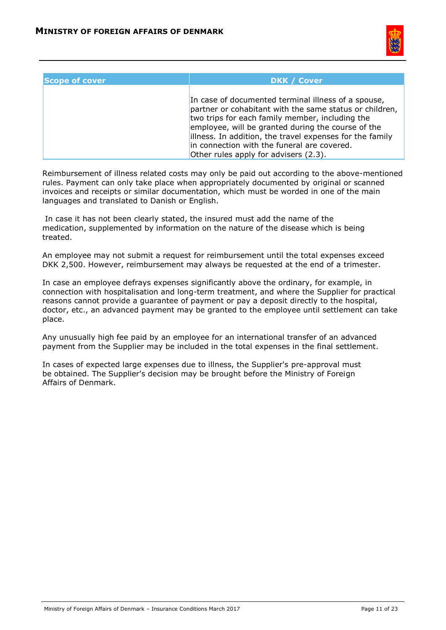

| <b>Scope of cover</b> | <b>DKK / Cover</b>                                                                                                                                                                                                                                                                                                                                                          |
|-----------------------|-----------------------------------------------------------------------------------------------------------------------------------------------------------------------------------------------------------------------------------------------------------------------------------------------------------------------------------------------------------------------------|
|                       | In case of documented terminal illness of a spouse,<br>partner or cohabitant with the same status or children,<br>two trips for each family member, including the<br>employee, will be granted during the course of the<br>lilness. In addition, the travel expenses for the family<br>in connection with the funeral are covered.<br>Other rules apply for advisers (2.3). |

Reimbursement of illness related costs may only be paid out according to the above-mentioned rules. Payment can only take place when appropriately documented by original or scanned invoices and receipts or similar documentation, which must be worded in one of the main languages and translated to Danish or English.

In case it has not been clearly stated, the insured must add the name of the medication, supplemented by information on the nature of the disease which is being treated.

An employee may not submit a request for reimbursement until the total expenses exceed DKK 2,500. However, reimbursement may always be requested at the end of a trimester.

In case an employee defrays expenses significantly above the ordinary, for example, in connection with hospitalisation and long-term treatment, and where the Supplier for practical reasons cannot provide a guarantee of payment or pay a deposit directly to the hospital, doctor, etc., an advanced payment may be granted to the employee until settlement can take place.

Any unusually high fee paid by an employee for an international transfer of an advanced payment from the Supplier may be included in the total expenses in the final settlement.

In cases of expected large expenses due to illness, the Supplier's pre-approval must be obtained. The Supplier's decision may be brought before the Ministry of Foreign Affairs of Denmark.